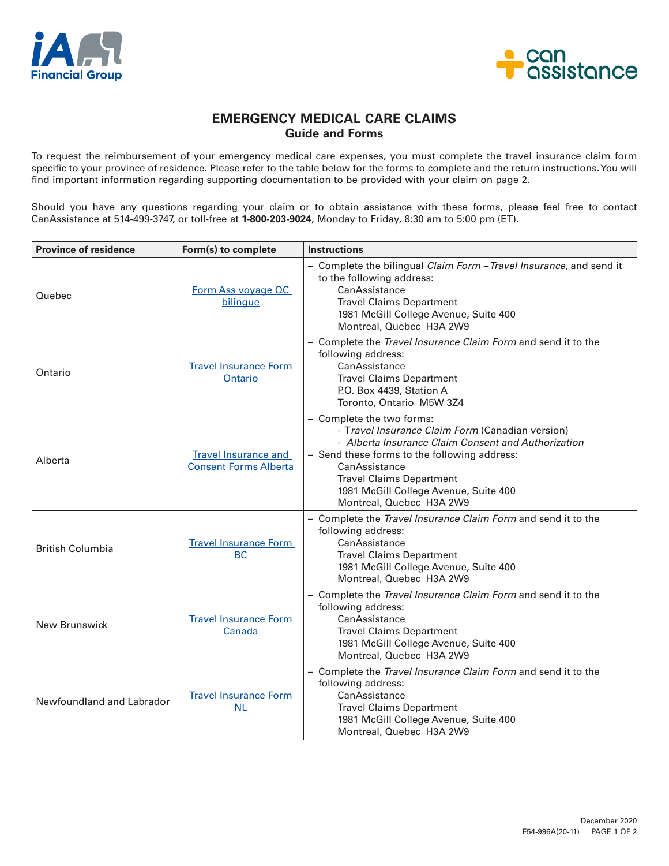



## **EMERGENCY MEDICAL CARE CLAIMS Guide and Forms**

To request the reimbursement of your emergency medical care expenses, you must complete the travel insurance claim form specific to your province of residence. Please refer to the table below for the forms to complete and the return instructions. You will find important information regarding supporting documentation to be provided with your claim on page 2.

Should you have any questions regarding your claim or to obtain assistance with these forms, please feel free to contact CanAssistance at 514-499-3747, or toll-free at **1-800-203-9024**, Monday to Friday, 8:30 am to 5:00 pm (ET).

| <b>Province of residence</b> | Form(s) to complete                                         | <b>Instructions</b>                                                                                                                                                                                                                                                                                           |
|------------------------------|-------------------------------------------------------------|---------------------------------------------------------------------------------------------------------------------------------------------------------------------------------------------------------------------------------------------------------------------------------------------------------------|
| Quebec                       | Form Ass voyage QC<br>bilingue                              | - Complete the bilingual Claim Form - Travel Insurance, and send it<br>to the following address:<br>CanAssistance<br><b>Travel Claims Department</b><br>1981 McGill College Avenue, Suite 400<br>Montreal, Quebec H3A 2W9                                                                                     |
| Ontario                      | <b>Travel Insurance Form</b><br>Ontario                     | - Complete the Travel Insurance Claim Form and send it to the<br>following address:<br>CanAssistance<br><b>Travel Claims Department</b><br>P.O. Box 4439, Station A<br>Toronto, Ontario M5W 3Z4                                                                                                               |
| Alberta                      | <b>Travel Insurance and</b><br><b>Consent Forms Alberta</b> | - Complete the two forms:<br>- Travel Insurance Claim Form (Canadian version)<br>- Alberta Insurance Claim Consent and Authorization<br>- Send these forms to the following address:<br>CanAssistance<br><b>Travel Claims Department</b><br>1981 McGill College Avenue, Suite 400<br>Montreal, Quebec H3A 2W9 |
| <b>British Columbia</b>      | <b>Travel Insurance Form</b><br><b>BC</b>                   | - Complete the Travel Insurance Claim Form and send it to the<br>following address:<br>CanAssistance<br><b>Travel Claims Department</b><br>1981 McGill College Avenue, Suite 400<br>Montreal, Quebec H3A 2W9                                                                                                  |
| New Brunswick                | <b>Travel Insurance Form</b><br>Canada                      | - Complete the Travel Insurance Claim Form and send it to the<br>following address:<br>CanAssistance<br><b>Travel Claims Department</b><br>1981 McGill College Avenue, Suite 400<br>Montreal, Quebec H3A 2W9                                                                                                  |
| Newfoundland and Labrador    | <b>Travel Insurance Form</b><br>NL                          | - Complete the Travel Insurance Claim Form and send it to the<br>following address:<br>CanAssistance<br><b>Travel Claims Department</b><br>1981 McGill College Avenue, Suite 400<br>Montreal, Quebec H3A 2W9                                                                                                  |